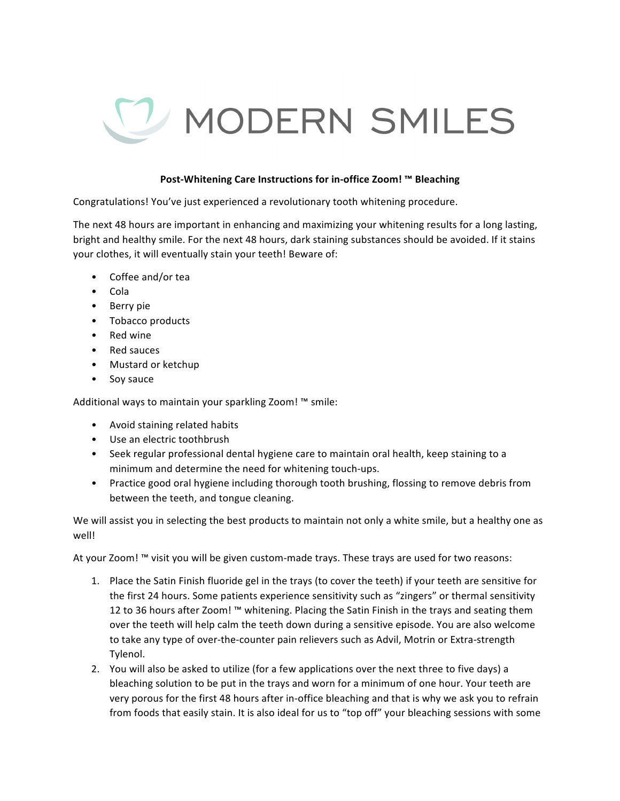

## **Post-Whitening Care Instructions for in-office Zoom! ™ Bleaching**

Congratulations! You've just experienced a revolutionary tooth whitening procedure.

The next 48 hours are important in enhancing and maximizing your whitening results for a long lasting, bright and healthy smile. For the next 48 hours, dark staining substances should be avoided. If it stains your clothes, it will eventually stain your teeth! Beware of:

- Coffee and/or tea
- Cola
- Berry pie
- Tobacco products
- Red wine
- Red sauces
- Mustard or ketchup
- Soy sauce

Additional ways to maintain your sparkling Zoom!  $M$  smile:

- Avoid staining related habits
- Use an electric toothbrush
- Seek regular professional dental hygiene care to maintain oral health, keep staining to a minimum and determine the need for whitening touch-ups.
- Practice good oral hygiene including thorough tooth brushing, flossing to remove debris from between the teeth, and tongue cleaning.

We will assist you in selecting the best products to maintain not only a white smile, but a healthy one as well!

At your Zoom!  $M$  visit you will be given custom-made trays. These trays are used for two reasons:

- 1. Place the Satin Finish fluoride gel in the trays (to cover the teeth) if your teeth are sensitive for the first 24 hours. Some patients experience sensitivity such as "zingers" or thermal sensitivity 12 to 36 hours after Zoom! ™ whitening. Placing the Satin Finish in the trays and seating them over the teeth will help calm the teeth down during a sensitive episode. You are also welcome to take any type of over-the-counter pain relievers such as Advil, Motrin or Extra-strength Tylenol.
- 2. You will also be asked to utilize (for a few applications over the next three to five days) a bleaching solution to be put in the trays and worn for a minimum of one hour. Your teeth are very porous for the first 48 hours after in-office bleaching and that is why we ask you to refrain from foods that easily stain. It is also ideal for us to "top off" your bleaching sessions with some